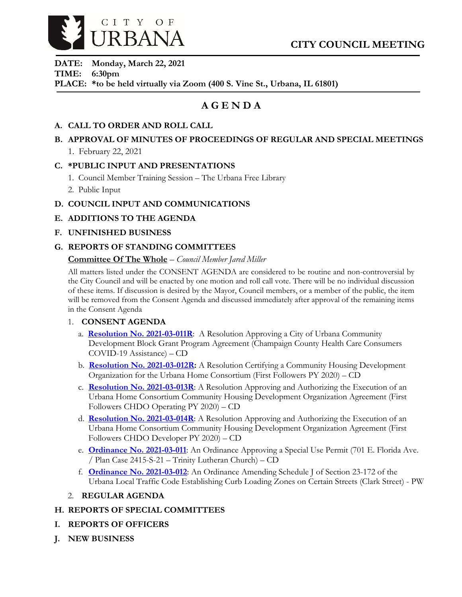

**DATE: Monday, March 22, 2021 TIME: 6:30pm PLACE: \*to be held virtually via Zoom (400 S. Vine St., Urbana, IL 61801)**

# **A G E N D A**

## **A. CALL TO ORDER AND ROLL CALL**

## **B. APPROVAL OF MINUTES OF PROCEEDINGS OF REGULAR AND SPECIAL MEETINGS** 1. February 22, 2021

### **C. \*PUBLIC INPUT AND PRESENTATIONS**

- 1. Council Member Training Session The Urbana Free Library
- 2. Public Input

## **D. COUNCIL INPUT AND COMMUNICATIONS**

- **E. ADDITIONS TO THE AGENDA**
- **F. UNFINISHED BUSINESS**

## **G. REPORTS OF STANDING COMMITTEES**

## **Committee Of The Whole** – *Council Member Jared Miller*

All matters listed under the CONSENT AGENDA are considered to be routine and non-controversial by the City Council and will be enacted by one motion and roll call vote. There will be no individual discussion of these items. If discussion is desired by the Mayor, Council members, or a member of the public, the item will be removed from the Consent Agenda and discussed immediately after approval of the remaining items in the Consent Agenda

### 1. **CONSENT AGENDA**

- a. **[Resolution No. 2021-03-011R](https://urbanaillinois.us/sites/default/files/attachments/Resolution_2021-03-011R_0.pdf)**: A Resolution Approving a City of Urbana Community Development Block Grant Program Agreement (Champaign County Health Care Consumers COVID-19 Assistance) – CD
- b. **[Resolution No. 2021-03-012R:](https://urbanaillinois.us/sites/default/files/attachments/Resolutions_2021-03-012R_2021-03-013R_2021-03-014R_2.pdf)** A Resolution Certifying a Community Housing Development Organization for the Urbana Home Consortium (First Followers PY 2020) – CD
- c. **[Resolution No. 2021-03-013R](https://urbanaillinois.us/sites/default/files/attachments/Resolutions_2021-03-012R_2021-03-013R_2021-03-014R_2.pdf)**: A Resolution Approving and Authorizing the Execution of an Urbana Home Consortium Community Housing Development Organization Agreement (First Followers CHDO Operating PY 2020) – CD
- d. **[Resolution No. 2021-03-014R](https://urbanaillinois.us/sites/default/files/attachments/Resolutions_2021-03-012R_2021-03-013R_2021-03-014R_2.pdf)**: A Resolution Approving and Authorizing the Execution of an Urbana Home Consortium Community Housing Development Organization Agreement (First Followers CHDO Developer PY 2020) – CD
- e. **[Ordinance No. 2021-03-011](https://urbanaillinois.us/sites/default/files/attachments/Ordinance_2021-03-011_0.pdf)**: An Ordinance Approving a Special Use Permit (701 E. Florida Ave. / Plan Case 2415-S-21 – Trinity Lutheran Church) – CD
- f. **[Ordinance No. 2021-03-012](https://urbanaillinois.us/sites/default/files/attachments/Ordinance_2021-03-012_1.pdf)**: An Ordinance Amending Schedule J of Section 23-172 of the Urbana Local Traffic Code Establishing Curb Loading Zones on Certain Streets (Clark Street) - PW
- 2. **REGULAR AGENDA**

### **H. REPORTS OF SPECIAL COMMITTEES**

- **I. REPORTS OF OFFICERS**
- **J. NEW BUSINESS**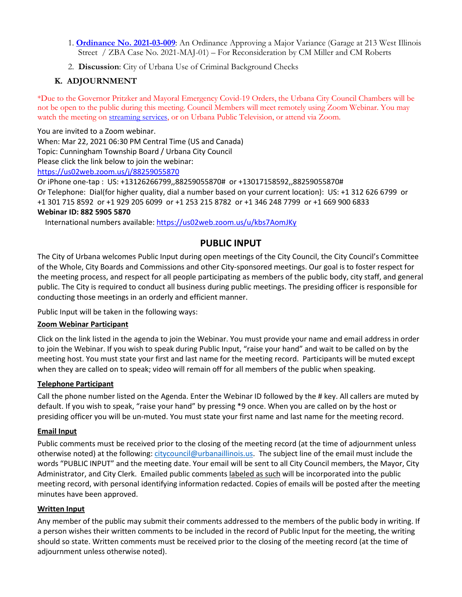- 1. **[Ordinance No. 2021-03-009](https://urbanaillinois.us/sites/default/files/attachments/Ordinance_2021-03-009.pdf)**: An Ordinance Approving a Major Variance (Garage at 213 West Illinois Street / ZBA Case No. 2021-MAJ-01) – For Reconsideration by CM Miller and CM Roberts
- 2. **Discussion**: City of Urbana Use of Criminal Background Checks

## **K. ADJOURNMENT**

\*Due to the Governor Pritzker and Mayoral Emergency Covid-19 Orders, the Urbana City Council Chambers will be not be open to the public during this meeting. Council Members will meet remotely using Zoom Webinar. You may watch the meeting on [streaming services,](https://livestream.com/urbana) or on Urbana Public Television, or attend via Zoom.

You are invited to a Zoom webinar. When: Mar 22, 2021 06:30 PM Central Time (US and Canada) Topic: Cunningham Township Board / Urbana City Council Please click the link below to join the webinar: <https://us02web.zoom.us/j/88259055870> Or iPhone one-tap : US: +13126266799,,88259055870# or +13017158592,,88259055870#

Or Telephone: Dial(for higher quality, dial a number based on your current location): US: +1 312 626 6799 or +1 301 715 8592 or +1 929 205 6099 or +1 253 215 8782 or +1 346 248 7799 or +1 669 900 6833 **Webinar ID: 882 5905 5870**

International numbers available[: https://us02web.zoom.us/u/kbs7AomJKy](https://us02web.zoom.us/u/kbs7AomJKy)

## **PUBLIC INPUT**

The City of Urbana welcomes Public Input during open meetings of the City Council, the City Council's Committee of the Whole, City Boards and Commissions and other City-sponsored meetings. Our goal is to foster respect for the meeting process, and respect for all people participating as members of the public body, city staff, and general public. The City is required to conduct all business during public meetings. The presiding officer is responsible for conducting those meetings in an orderly and efficient manner.

Public Input will be taken in the following ways:

### **Zoom Webinar Participant**

Click on the link listed in the agenda to join the Webinar. You must provide your name and email address in order to join the Webinar. If you wish to speak during Public Input, "raise your hand" and wait to be called on by the meeting host. You must state your first and last name for the meeting record. Participants will be muted except when they are called on to speak; video will remain off for all members of the public when speaking.

### **Telephone Participant**

Call the phone number listed on the Agenda. Enter the Webinar ID followed by the # key. All callers are muted by default. If you wish to speak, "raise your hand" by pressing \*9 once. When you are called on by the host or presiding officer you will be un-muted. You must state your first name and last name for the meeting record.

### **Email Input**

Public comments must be received prior to the closing of the meeting record (at the time of adjournment unless otherwise noted) at the following: [citycouncil@urbanaillinois.us.](mailto:citycouncil@urbanaillinois.us) The subject line of the email must include the words "PUBLIC INPUT" and the meeting date. Your email will be sent to all City Council members, the Mayor, City Administrator, and City Clerk. Emailed public comments labeled as such will be incorporated into the public meeting record, with personal identifying information redacted. Copies of emails will be posted after the meeting minutes have been approved.

### **Written Input**

Any member of the public may submit their comments addressed to the members of the public body in writing. If a person wishes their written comments to be included in the record of Public Input for the meeting, the writing should so state. Written comments must be received prior to the closing of the meeting record (at the time of adjournment unless otherwise noted).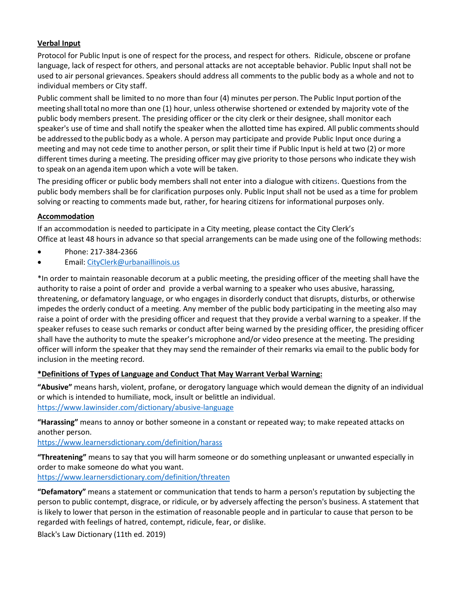### **Verbal Input**

Protocol for Public Input is one of respect for the process, and respect for others. Ridicule, obscene or profane language, lack of respect for others, and personal attacks are not acceptable behavior. Public Input shall not be used to air personal grievances. Speakers should address all comments to the public body as a whole and not to individual members or City staff.

Public comment shall be limited to no more than four (4) minutes per person. The Public Input portion ofthe meeting shalltotal nomore than one (1) hour, unless otherwise shortened or extended by majority vote of the public body members present. The presiding officer or the city clerk or their designee, shall monitor each speaker's use of time and shall notify the speaker when the allotted time has expired. All public comments should be addressed to the public body as a whole. A person may participate and provide Public Input once during a meeting and may not cede time to another person, or split their time if Public Input is held at two (2) or more different times during a meeting. The presiding officer may give priority to those persons who indicate they wish to speak on an agenda item upon which a vote will be taken.

The presiding officer or public body members shall not enter into a dialogue with citizens. Questions from the public body members shall be for clarification purposes only. Public Input shall not be used as a time for problem solving or reacting to comments made but, rather, for hearing citizens for informational purposes only.

### **Accommodation**

If an accommodation is needed to participate in a City meeting, please contact the City Clerk's Office at least 48 hours in advance so that special arrangements can be made using one of the following methods:

- Phone: 217-384-2366
- Email[: CityClerk@urbanaillinois.us](mailto:CityClerk@urbanaillinois.us)

\*In order to maintain reasonable decorum at a public meeting, the presiding officer of the meeting shall have the authority to raise a point of order and provide a verbal warning to a speaker who uses abusive, harassing, threatening, or defamatory language, or who engages in disorderly conduct that disrupts, disturbs, or otherwise impedes the orderly conduct of a meeting. Any member of the public body participating in the meeting also may raise a point of order with the presiding officer and request that they provide a verbal warning to a speaker. If the speaker refuses to cease such remarks or conduct after being warned by the presiding officer, the presiding officer shall have the authority to mute the speaker's microphone and/or video presence at the meeting. The presiding officer will inform the speaker that they may send the remainder of their remarks via email to the public body for inclusion in the meeting record.

### **\*Definitions of Types of Language and Conduct That May Warrant Verbal Warning:**

**"Abusive"** means harsh, violent, profane, or derogatory language which would demean the dignity of an individual or which is intended to humiliate, mock, insult or belittle an individual. <https://www.lawinsider.com/dictionary/abusive-language>

**"Harassing"** means to annoy or bother someone in a constant or repeated way; to make repeated attacks on another person.

<https://www.learnersdictionary.com/definition/harass>

**"Threatening"** means to say that you will harm someone or do something unpleasant or unwanted especially in order to make someone do what you want.

<https://www.learnersdictionary.com/definition/threaten>

**"Defamatory"** means a statement or communication that tends to harm a person's reputation by subjecting the person to public contempt, disgrace, or ridicule, or by adversely affecting the person's business. A statement that is likely to lower that person in the estimation of reasonable people and in particular to cause that person to be regarded with feelings of hatred, contempt, ridicule, fear, or dislike.

Black's Law Dictionary (11th ed. 2019)